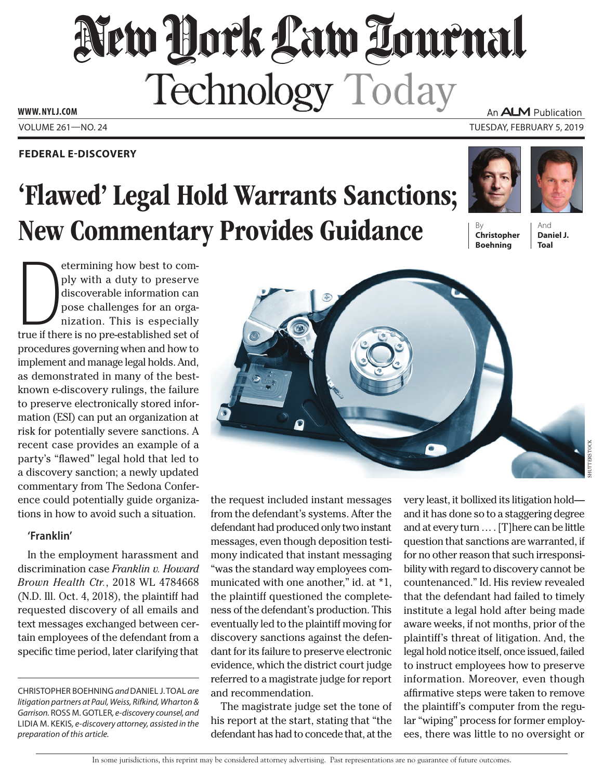# New Hock Law Tournal Technology Today An **ALM** Publication

Volume 261—NO. 24 Tuesday, February 5, 2019 **www. NYLJ.com**

### **Federal E-Discovery**

# 'Flawed' Legal Hold Warrants Sanctions; **New Commentary Provides Guidance**





**Christopher Boehning**

And **Daniel J. Toal**

etermining how best to comply with a duty to preserve discoverable information can pose challenges for an organization. This is especially true if there is no pre-established set of etermining how best to comply with a duty to preserve discoverable information can pose challenges for an organization. This is especially procedures governing when and how to implement and manage legal holds. And, as demonstrated in many of the bestknown e-discovery rulings, the failure to preserve electronically stored information (ESI) can put an organization at risk for potentially severe sanctions. A recent case provides an example of a party's "flawed" legal hold that led to a discovery sanction; a newly updated commentary from The Sedona Conference could potentially guide organizations in how to avoid such a situation.

### **'Franklin'**

In the employment harassment and discrimination case *Franklin v. Howard Brown Health Ctr.*, 2018 WL 4784668 (N.D. Ill. Oct. 4, 2018), the plaintiff had requested discovery of all emails and text messages exchanged between certain employees of the defendant from a specific time period, later clarifying that

Christopher Boehning *and* Daniel J. Toal *are litigation partners at Paul, Weiss, Rifkind, Wharton &*  Garrison. ROSS M. GOTLER, e-discovery counsel, and Lidia M. Kekis*, e-discovery attorney, assisted in the preparation of this article.*

the request included instant messages from the defendant's systems. After the defendant had produced only two instant messages, even though deposition testimony indicated that instant messaging "was the standard way employees communicated with one another," id. at \*1, the plaintiff questioned the completeness of the defendant's production. This eventually led to the plaintiff moving for discovery sanctions against the defendant for its failure to preserve electronic evidence, which the district court judge referred to a magistrate judge for report and recommendation.

The magistrate judge set the tone of his report at the start, stating that "the defendant has had to concede that, at the

very least, it bollixed its litigation hold and it has done so to a staggering degree and at every turn … . [T]here can be little question that sanctions are warranted, if for no other reason that such irresponsibility with regard to discovery cannot be countenanced." Id. His review revealed that the defendant had failed to timely institute a legal hold after being made aware weeks, if not months, prior of the plaintiff's threat of litigation. And, the legal hold notice itself, once issued, failed to instruct employees how to preserve information. Moreover, even though affirmative steps were taken to remove the plaintiff's computer from the regular "wiping" process for former employees, there was little to no oversight or

Shutterstock